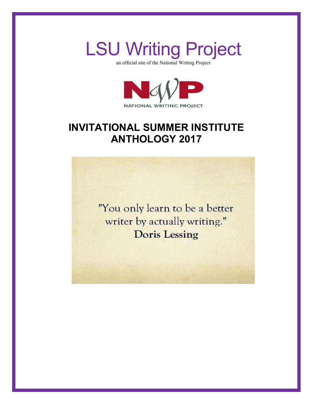

an official site of the National Writing Project



# **INVITATIONAL SUMMER INSTITUTE ANTHOLOGY 2017**

"You only learn to be a better writer by actually writing." **Doris Lessing**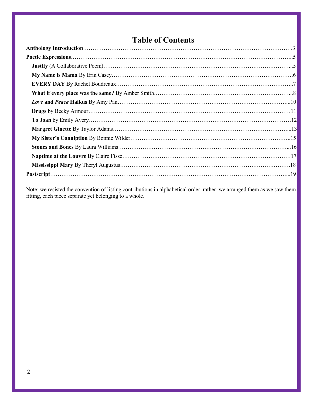# **Table of Contents**

Note: we resisted the convention of listing contributions in alphabetical order, rather, we arranged them as we saw them fitting, each piece separate yet belonging to a whole.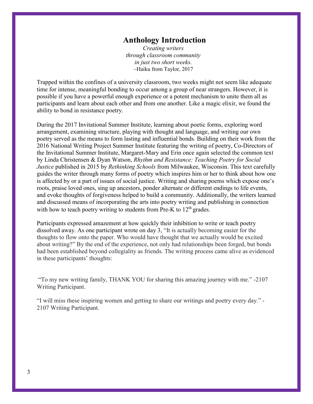### **Anthology Introduction**

*Creating writers through classroom community in just two short weeks.* ~Haiku from Taylor, 2017

<span id="page-2-0"></span>Trapped within the confines of a university classroom, two weeks might not seem like adequate time for intense, meaningful bonding to occur among a group of near strangers. However, it is possible if you have a powerful enough experience or a potent mechanism to unite them all as participants and learn about each other and from one another. Like a magic elixir, we found the ability to bond in resistance poetry.

During the 2017 Invitational Summer Institute, learning about poetic forms, exploring word arrangement, examining structure, playing with thought and language, and writing our own poetry served as the means to form lasting and influential bonds. Building on their work from the 2016 National Writing Project Summer Institute featuring the writing of poetry, Co-Directors of the Invitational Summer Institute, Margaret-Mary and Erin once again selected the common text by Linda Christensen & Dyan Watson, *Rhythm and Resistance: Teaching Poetry for Social Justice* published in 2015 by *Rethinking Schools* from Milwaukee, Wisconsin. This text carefully guides the writer through many forms of poetry which inspires him or her to think about how one is affected by or a part of issues of social justice. Writing and sharing poems which expose one's roots, praise loved ones, sing up ancestors, ponder alternate or different endings to life events, and evoke thoughts of forgiveness helped to build a community. Additionally, the writers learned and discussed means of incorporating the arts into poetry writing and publishing in connection with how to teach poetry writing to students from Pre-K to  $12<sup>th</sup>$  grades.

Participants expressed amazement at how quickly their inhibition to write or teach poetry dissolved away. As one participant wrote on day 3, "It is actually becoming easier for the thoughts to flow onto the paper. Who would have thought that we actually would be excited about writing?" By the end of the experience, not only had relationships been forged, but bonds had been established beyond collegiality as friends. The writing process came alive as evidenced in these participants' thoughts:

"To my new writing family, THANK YOU for sharing this amazing journey with me." -2107 Writing Participant.

"I will miss these inspiring women and getting to share our writings and poetry every day." - 2107 Writing Participant.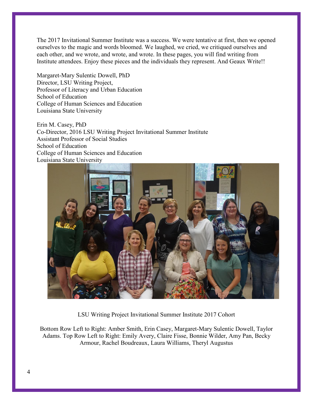The 2017 Invitational Summer Institute was a success. We were tentative at first, then we opened ourselves to the magic and words bloomed. We laughed, we cried, we critiqued ourselves and each other, and we wrote, and wrote, and wrote. In these pages, you will find writing from Institute attendees. Enjoy these pieces and the individuals they represent. And Geaux Write!!

Margaret-Mary Sulentic Dowell, PhD Director, LSU Writing Project, Professor of Literacy and Urban Education School of Education College of Human Sciences and Education Louisiana State University

Erin M. Casey, PhD Co-Director, 2016 LSU Writing Project Invitational Summer Institute Assistant Professor of Social Studies School of Education College of Human Sciences and Education Louisiana State University



LSU Writing Project Invitational Summer Institute 2017 Cohort

Bottom Row Left to Right: Amber Smith, Erin Casey, Margaret-Mary Sulentic Dowell, Taylor Adams. Top Row Left to Right: Emily Avery, Claire Fisse, Bonnie Wilder, Amy Pan, Becky Armour, Rachel Boudreaux, Laura Williams, Theryl Augustus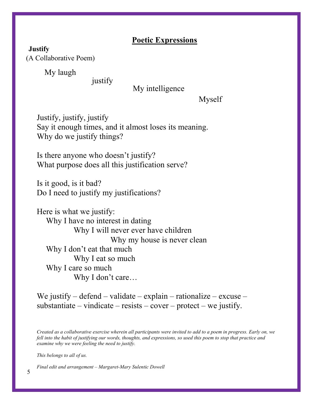### **Poetic Expressions**

<span id="page-4-2"></span><span id="page-4-1"></span><span id="page-4-0"></span>**Justify** (A Collaborative Poem)

My laugh

justify

### My intelligence

Myself

Justify, justify, justify Say it enough times, and it almost loses its meaning. Why do we justify things?

Is there anyone who doesn't justify? What purpose does all this justification serve?

Is it good, is it bad? Do I need to justify my justifications?

Here is what we justify: Why I have no interest in dating Why I will never ever have children Why my house is never clean Why I don't eat that much Why I eat so much Why I care so much Why I don't care…

We justify – defend – validate – explain – rationalize – excuse – substantiate – vindicate – resists – cover – protect – we justify.

*Created as a collaborative exercise wherein all participants were invited to add to a poem in progress. Early on, we fell into the habit of justifying our words, thoughts, and expressions, so used this poem to stop that practice and examine why we were feeling the need to justify.*

*This belongs to all of us.*

*Final edit and arrangement – Margaret-Mary Sulentic Dowell*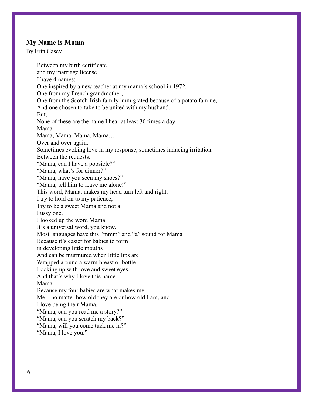#### <span id="page-5-0"></span>**My Name is Mama**

<span id="page-5-1"></span>By Erin Casey

Between my birth certificate and my marriage license I have 4 names: One inspired by a new teacher at my mama's school in 1972, One from my French grandmother, One from the Scotch-Irish family immigrated because of a potato famine, And one chosen to take to be united with my husband. But, None of these are the name I hear at least 30 times a day-Mama. Mama, Mama, Mama, Mama… Over and over again. Sometimes evoking love in my response, sometimes inducing irritation Between the requests. "Mama, can I have a popsicle?" "Mama, what's for dinner?" "Mama, have you seen my shoes?" "Mama, tell him to leave me alone!" This word, Mama, makes my head turn left and right. I try to hold on to my patience, Try to be a sweet Mama and not a Fussy one. I looked up the word Mama. It's a universal word, you know. Most languages have this "mmm" and "a" sound for Mama Because it's easier for babies to form in developing little mouths And can be murmured when little lips are Wrapped around a warm breast or bottle Looking up with love and sweet eyes. And that's why I love this name Mama. Because my four babies are what makes me Me – no matter how old they are or how old I am, and I love being their Mama. "Mama, can you read me a story?" "Mama, can you scratch my back?" "Mama, will you come tuck me in?" "Mama, I love you."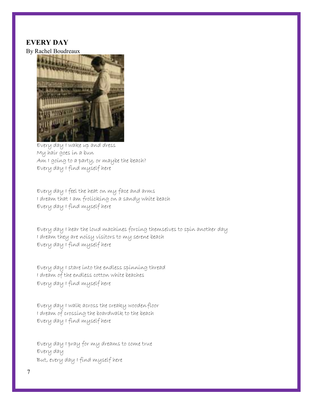#### <span id="page-6-0"></span>**EVERY DAY**

<span id="page-6-1"></span>By Rachel Boudreaux



Every day I wake up and dress My hair goes in a bun Am I going to a party, or maybe the beach? Every day I find myself here

Every day I feel the heat on my face and arms I dream that I am frolicking on a sandy white beach Every day I find myself here

Every day I hear the loud machines forcing themselves to spin another day I dream they are noisy visitors to my serene beach Every day I find myself here

Every day I stare into the endless spinning thread I dream of the endless cotton white beaches Every day I find myself here

Every day I walk across the creaky woodenfloor I dream of crossing the boardwalk to the beach Every day I find myself here

Every day I pray for my dreams to come true Every day But, every day I find myself here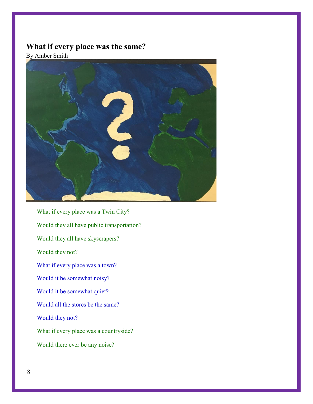# <span id="page-7-0"></span>**What if every place was the same?**

<span id="page-7-1"></span>By Amber Smith



What if every place was a Twin City? Would they all have public transportation? Would they all have skyscrapers? Would they not? What if every place was a town? Would it be somewhat noisy? Would it be somewhat quiet? Would all the stores be the same? Would they not? What if every place was a countryside? Would there ever be any noise?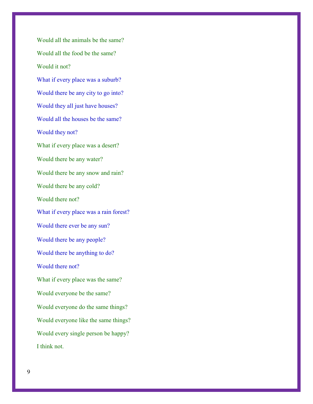Would all the animals be the same? Would all the food be the same? Would it not? What if every place was a suburb? Would there be any city to go into? Would they all just have houses? Would all the houses be the same? Would they not? What if every place was a desert? Would there be any water? Would there be any snow and rain? Would there be any cold? Would there not? What if every place was a rain forest? Would there ever be any sun? Would there be any people? Would there be anything to do? Would there not? What if every place was the same? Would everyone be the same? Would everyone do the same things? Would everyone like the same things? Would every single person be happy? I think not.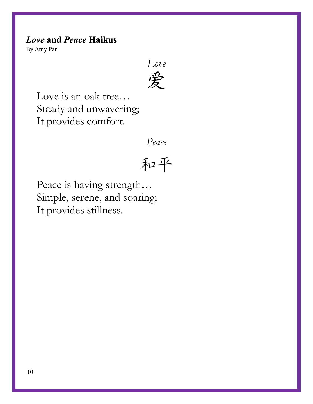# <span id="page-9-0"></span>*Love* **and** *Peace* **Haikus**

<span id="page-9-1"></span>By Amy Pan

Love<br>爱

Love is an oak tree… Steady and unwavering; It provides comfort.

*Peace*

和平

Peace is having strength… Simple, serene, and soaring; It provides stillness.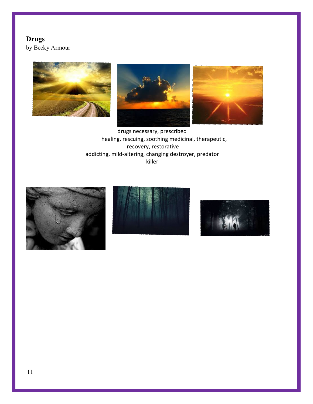### <span id="page-10-0"></span>**Drugs**

<span id="page-10-1"></span>by Becky Armour







drugs necessary, prescribed healing, rescuing, soothing medicinal, therapeutic, recovery, restorative addicting, mild-altering, changing destroyer, predator killer





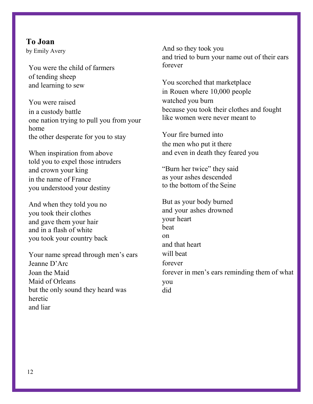<span id="page-11-1"></span><span id="page-11-0"></span>**To Joan** by Emily Avery

You were the child of farmers of tending sheep and learning to sew

You were raised in a custody battle one nation trying to pull you from your home the other desperate for you to stay

When inspiration from above told you to expel those intruders and crown your king in the name of France you understood your destiny

And when they told you no you took their clothes and gave them your hair and in a flash of white you took your country back

Your name spread through men's ears Jeanne D'Arc Joan the Maid Maid of Orleans but the only sound they heard was heretic and liar

And so they took you and tried to burn your name out of their ears forever

You scorched that marketplace in Rouen where 10,000 people watched you burn because you took their clothes and fought like women were never meant to

Your fire burned into the men who put it there and even in death they feared you

"Burn her twice" they said as your ashes descended to the bottom of the Seine

But as your body burned and your ashes drowned your heart beat on and that heart will beat forever forever in men's ears reminding them of what you did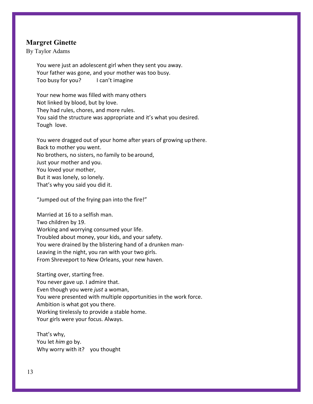#### <span id="page-12-0"></span>**Margret Ginette**

<span id="page-12-1"></span>By Taylor Adams

You were just an adolescent girl when they sent you away. Your father was gone, and your mother was too busy. Too busy for you? I can't imagine

Your new home was filled with many others Not linked by blood, but by love. They had rules, chores, and more rules. You said the structure was appropriate and it's what you desired. Tough love.

You were dragged out of your home after years of growing upthere. Back to mother you went. No brothers, no sisters, no family to be around, Just your mother and you. You loved your mother, But it was lonely, so lonely. That's why you said you did it.

"Jumped out of the frying pan into the fire!"

Married at 16 to a selfish man. Two children by 19. Working and worrying consumed your life. Troubled about money, your kids, and your safety. You were drained by the blistering hand of a drunken man-Leaving in the night, you ran with your two girls. From Shreveport to New Orleans, your new haven.

Starting over, starting free. You never gave up. I admire that. Even though you were *just* a woman, You were presented with multiple opportunities in the work force. Ambition is what got you there. Working tirelessly to provide a stable home. Your girls were your focus. Always.

That's why, You let *him* go by. Why worry with it? you thought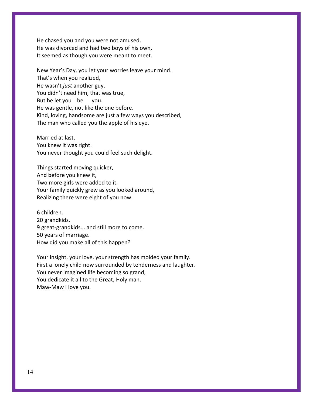He chased you and you were not amused. He was divorced and had two boys of his own, It seemed as though you were meant to meet.

New Year's Day, you let your worries leave your mind. That's when you realized, He wasn't *just* another guy. You didn't need him, that was true, But he let you be you. He was gentle, not like the one before. Kind, loving, handsome are just a few ways you described, The man who called you the apple of his eye.

Married at last, You knew it was right. You never thought you could feel such delight.

Things started moving quicker, And before you knew it, Two more girls were added to it. Your family quickly grew as you looked around, Realizing there were eight of you now.

6 children. 20 grandkids. 9 great-grandkids... and still more to come. 50 years of marriage. How did you make all of this happen?

Your insight, your love, your strength has molded your family. First a lonely child now surrounded by tenderness and laughter. You never imagined life becoming so grand, You dedicate it all to the Great, Holy man. Maw-Maw I love you.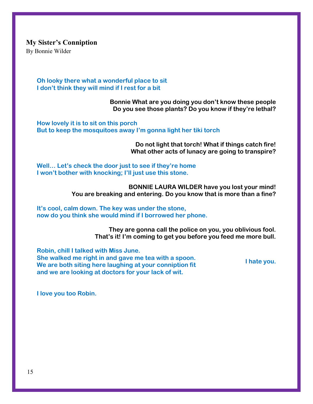<span id="page-14-0"></span>**My Sister's Conniption**

<span id="page-14-1"></span>By Bonnie Wilder

**Oh looky there what a wonderful place to sit I don't think they will mind if I rest for a bit**

> **Bonnie What are you doing you don't know these people Do you see those plants? Do you know if they're lethal?**

**How lovely it is to sit on this porch But to keep the mosquitoes away I'm gonna light her tiki torch**

> **Do not light that torch! What if things catch fire! What other acts of lunacy are going to transpire?**

**Well… Let's check the door just to see if they're home I won't bother with knocking; I'll just use this stone.**

> **BONNIE LAURA WILDER have you lost your mind! You are breaking and entering. Do you know that is more than a fine?**

**It's cool, calm down. The key was under the stone, now do you think she would mind if I borrowed her phone.**

> **They are gonna call the police on you, you oblivious fool. That's it! I'm coming to get you before you feed me more bull.**

**Robin, chill I talked with Miss June. She walked me right in and gave me tea with a spoon. We are both siting here laughing at your conniption fit and we are looking at doctors for your lack of wit.**

**I hate you.**

**I love you too Robin.**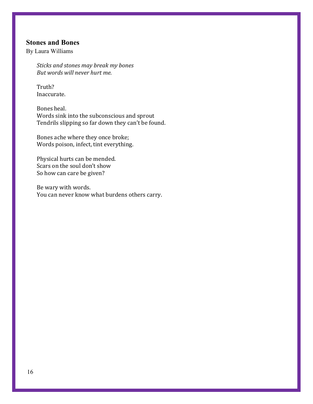#### <span id="page-15-0"></span>**Stones and Bones**

<span id="page-15-1"></span>By Laura Williams

*Sticks and stones may break my bones But words will never hurt me.*

Truth? Inaccurate.

Bones heal. Words sink into the subconscious and sprout Tendrils slipping so far down they can't be found.

Bones ache where they once broke; Words poison, infect, tint everything.

Physical hurts can be mended. Scars on the soul don't show So how can care be given?

Be wary with words. You can never know what burdens others carry.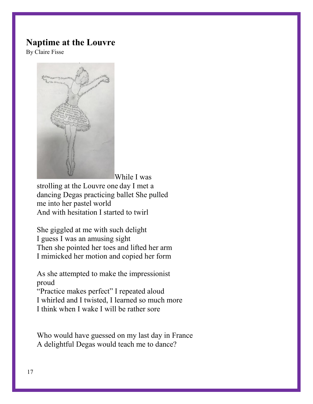### <span id="page-16-0"></span>**Naptime at the Louvre**

<span id="page-16-1"></span>By Claire Fisse



While I was

strolling at the Louvre one day I met a dancing Degas practicing ballet She pulled me into her pastel world And with hesitation I started to twirl

She giggled at me with such delight I guess I was an amusing sight Then she pointed her toes and lifted her arm I mimicked her motion and copied her form

As she attempted to make the impressionist proud

"Practice makes perfect" I repeated aloud I whirled and I twisted, I learned so much more I think when I wake I will be rather sore

Who would have guessed on my last day in France A delightful Degas would teach me to dance?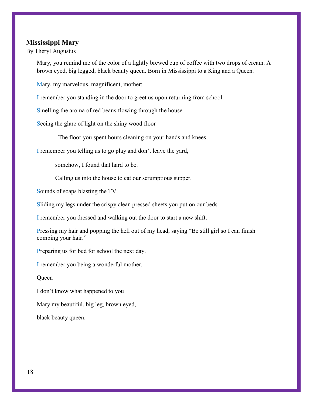#### <span id="page-17-0"></span>**Mississippi Mary**

<span id="page-17-1"></span>By Theryl Augustus

Mary, you remind me of the color of a lightly brewed cup of coffee with two drops of cream. A brown eyed, big legged, black beauty queen. Born in Mississippi to a King and a Queen.

Mary, my marvelous, magnificent, mother:

I remember you standing in the door to greet us upon returning from school.

Smelling the aroma of red beans flowing through the house.

Seeing the glare of light on the shiny wood floor

The floor you spent hours cleaning on your hands and knees.

I remember you telling us to go play and don't leave the yard,

somehow, I found that hard to be.

Calling us into the house to eat our scrumptious supper.

Sounds of soaps blasting the TV.

Sliding my legs under the crispy clean pressed sheets you put on our beds.

I remember you dressed and walking out the door to start a new shift.

Pressing my hair and popping the hell out of my head, saying "Be still girl so I can finish combing your hair."

Preparing us for bed for school the next day.

I remember you being a wonderful mother.

**Oueen** 

I don't know what happened to you

Mary my beautiful, big leg, brown eyed,

black beauty queen.